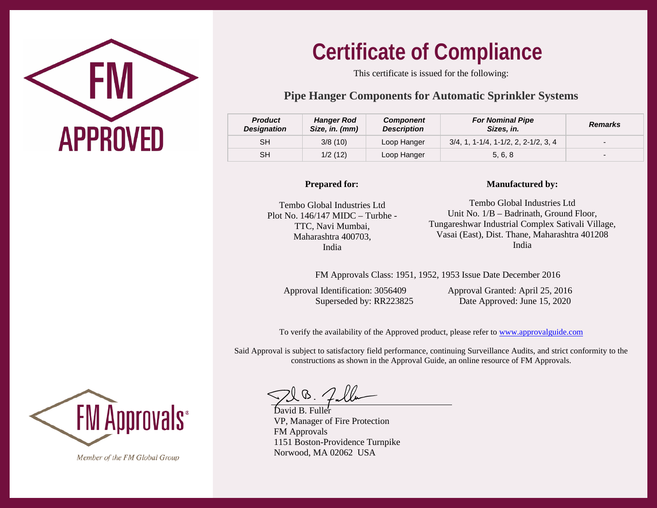

# **Certificate of Compliance**

This certificate is issued for the following:

## **Pipe Hanger Components for Automatic Sprinkler Systems**

| <b>Product</b><br><b>Designation</b> | <b>Hanger Rod</b><br>Size, in. (mm) | <b>Component</b><br><b>Description</b> | <b>For Nominal Pipe</b><br>Sizes, in.  | <b>Remarks</b>           |
|--------------------------------------|-------------------------------------|----------------------------------------|----------------------------------------|--------------------------|
| SН                                   | 3/8(10)                             | Loop Hanger                            | $3/4, 1, 1-1/4, 1-1/2, 2, 2-1/2, 3, 4$ | $\overline{\phantom{0}}$ |
| SН                                   | 1/2(12)                             | Loop Hanger                            | 5, 6, 8                                | $\overline{\phantom{0}}$ |

#### **Prepared for:**

#### Tembo Global Industries Ltd Plot No. 146/147 MIDC – Turbhe - TTC, Navi Mumbai, Maharashtra 400703, India

#### **Manufactured by:**

Tembo Global Industries Ltd Unit No. 1/B – Badrinath, Ground Floor, Tungareshwar Industrial Complex Sativali Village, Vasai (East), Dist. Thane, Maharashtra 401208 India

FM Approvals Class: 1951, 1952, 1953 Issue Date December 2016

Approval Identification: 3056409 Approval Granted: April 25, 2016

Superseded by: RR223825 Date Approved: June 15, 2020

To verify the availability of the Approved product, please refer t[o www.approvalguide.com](http://www.approvalguide.com/)

Said Approval is subject to satisfactory field performance, continuing Surveillance Audits, and strict conformity to the constructions as shown in the Approval Guide, an online resource of FM Approvals.

 $\sqrt{10}.\sqrt{}$ 

VP, Manager of Fire Protection FM Approvals 1151 Boston-Providence Turnpike Norwood, MA 02062 USA



Member of the FM Global Group